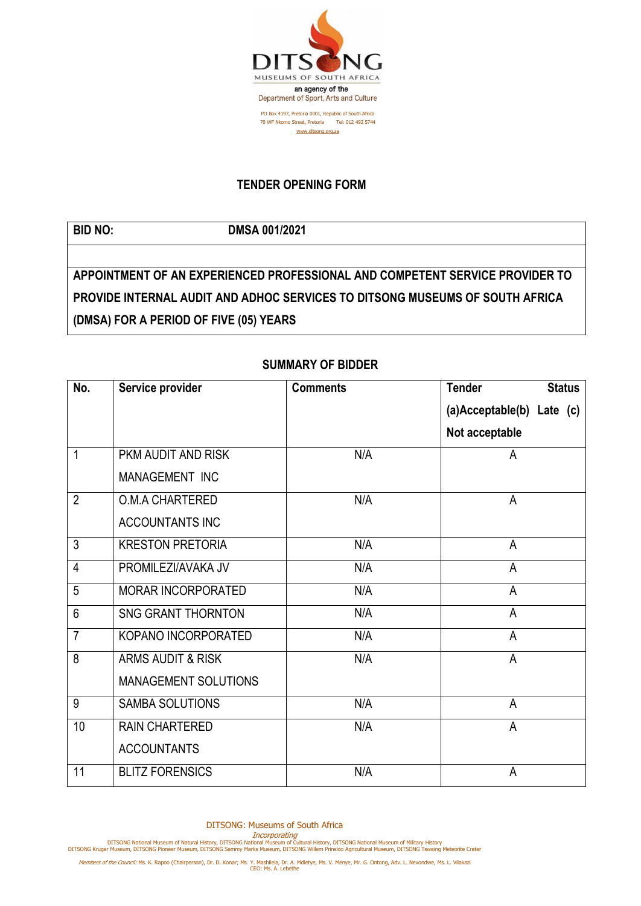

## **TENDER OPENING FORM**

## **BID NO: DMSA 001/2021**

**APPOINTMENT OF AN EXPERIENCED PROFESSIONAL AND COMPETENT SERVICE PROVIDER TO PROVIDE INTERNAL AUDIT AND ADHOC SERVICES TO DITSONG MUSEUMS OF SOUTH AFRICA (DMSA) FOR A PERIOD OF FIVE (05) YEARS**

## **SUMMARY OF BIDDER**

| No.            | Service provider             | <b>Comments</b> | <b>Tender</b><br><b>Status</b> |
|----------------|------------------------------|-----------------|--------------------------------|
|                |                              |                 | (a)Acceptable(b) Late (c)      |
|                |                              |                 | Not acceptable                 |
| 1              | PKM AUDIT AND RISK           | N/A             | A                              |
|                | MANAGEMENT INC               |                 |                                |
| $\overline{2}$ | <b>O.M.A CHARTERED</b>       | N/A             | A                              |
|                | <b>ACCOUNTANTS INC</b>       |                 |                                |
| $\overline{3}$ | <b>KRESTON PRETORIA</b>      | N/A             | A                              |
| $\overline{4}$ | PROMILEZI/AVAKA JV           | N/A             | A                              |
| 5              | <b>MORAR INCORPORATED</b>    | N/A             | A                              |
| 6              | <b>SNG GRANT THORNTON</b>    | N/A             | A                              |
| $\overline{7}$ | KOPANO INCORPORATED          | N/A             | A                              |
| 8              | <b>ARMS AUDIT &amp; RISK</b> | N/A             | A                              |
|                | <b>MANAGEMENT SOLUTIONS</b>  |                 |                                |
| 9              | <b>SAMBA SOLUTIONS</b>       | N/A             | A                              |
| 10             | <b>RAIN CHARTERED</b>        | N/A             | $\mathsf{A}$                   |
|                | <b>ACCOUNTANTS</b>           |                 |                                |
| 11             | <b>BLITZ FORENSICS</b>       | N/A             | A                              |

Incorporating<br>DITSONG National Museum of Natural History, DITSONG National Museum of Military History<br>DITSONG Kruger Museum, DITSONG Pioneer Museum, DITSONG Sammy Marks Museum, DITSONG Willem Prinsloo Agricultural Museum,

Members of the Council: Ms. K. Rapoo (Chairperson), Dr. D. Konar; Ms. Y. Mashilela, Dr. A. Mdletye, Ms. V. Menye, Mr. G. Ontong, Adv. L. Nevondwe, Ms. L. Vilakazi<br>CEO: Ms. A. Lebethe